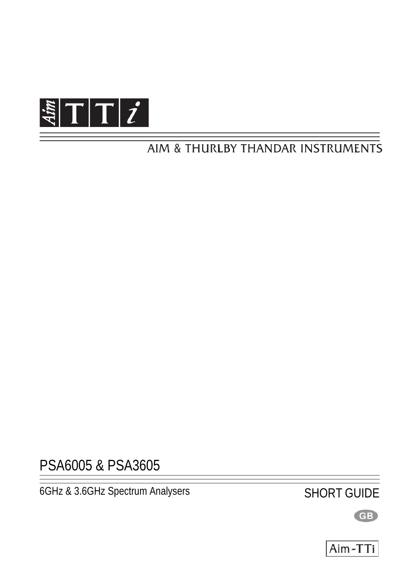

# AIM & THURLBY THANDAR INSTRUMENTS

PSA6005 & PSA3605

6GHz & 3.6GHz Spectrum Analysers SHORT GUIDE

GB

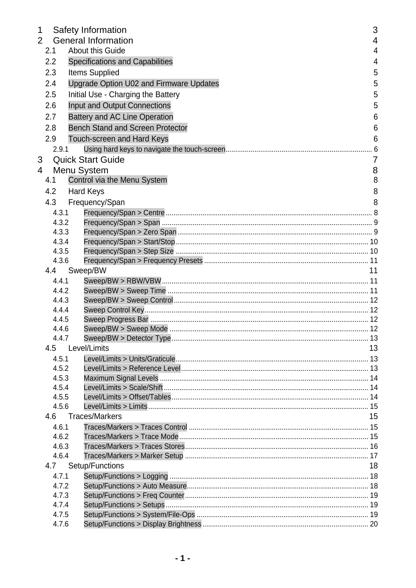| $\mathbf 1$    |     |                | <b>Safety Information</b>               | 3              |
|----------------|-----|----------------|-----------------------------------------|----------------|
| $\overline{2}$ |     |                | <b>General Information</b>              | 4              |
|                | 2.1 |                | <b>About this Guide</b>                 | $\overline{4}$ |
|                | 2.2 |                | <b>Specifications and Capabilities</b>  | 4              |
|                | 2.3 |                | <b>Items Supplied</b>                   | 5              |
|                | 2.4 |                | Upgrade Option U02 and Firmware Updates | 5              |
|                | 2.5 |                | Initial Use - Charging the Battery      | 5              |
|                | 2.6 |                | Input and Output Connections            | 5              |
|                |     |                |                                         |                |
|                | 2.7 |                | <b>Battery and AC Line Operation</b>    | 6              |
|                | 2.8 |                | <b>Bench Stand and Screen Protector</b> | 6              |
|                | 2.9 |                | Touch-screen and Hard Keys              | 6              |
|                |     | 2.9.1          |                                         |                |
| 3              |     |                | <b>Quick Start Guide</b>                | 7              |
| 4              |     |                | Menu System                             | 8              |
|                | 4.1 |                | Control via the Menu System             | 8              |
|                | 4.2 |                | <b>Hard Keys</b>                        | 8              |
|                | 4.3 |                | Frequency/Span                          | 8              |
|                |     | 4.3.1          |                                         |                |
|                |     | 4.3.2          |                                         |                |
|                |     | 4.3.3          |                                         |                |
|                |     | 4.3.4          |                                         |                |
|                |     | 4.3.5          |                                         |                |
|                |     | 4.3.6          |                                         |                |
|                |     | 4.4            | Sweep/BW                                | 11             |
|                |     | 4.4.1          |                                         |                |
|                |     | 4.4.2          |                                         |                |
|                |     | 4.4.3          |                                         |                |
|                |     | 4.4.4          |                                         |                |
|                |     | 4.4.5          |                                         |                |
|                |     | 4.4.6          |                                         |                |
|                |     | 4.4.7          |                                         |                |
|                | 4.5 |                | Level/Limits                            | 13             |
|                |     | 4.5.1          |                                         |                |
|                |     | 4.5.2          |                                         |                |
|                |     | 4.5.3          |                                         |                |
|                |     | 4.5.4          |                                         |                |
|                |     | 4.5.5          |                                         |                |
|                |     | 4.5.6          |                                         |                |
|                | 4.6 |                | <b>Traces/Markers</b>                   | 15             |
|                |     | 4.6.1          |                                         |                |
|                |     | 4.6.2          |                                         |                |
|                |     | 4.6.3          |                                         |                |
|                |     | 4.6.4          |                                         |                |
|                | 4.7 |                | Setup/Functions                         | 18             |
|                |     | 4.7.1          |                                         |                |
|                |     | 4.7.2          |                                         |                |
|                |     | 4.7.3          |                                         |                |
|                |     | 4.7.4          |                                         |                |
|                |     | 4.7.5<br>4.7.6 |                                         |                |
|                |     |                |                                         |                |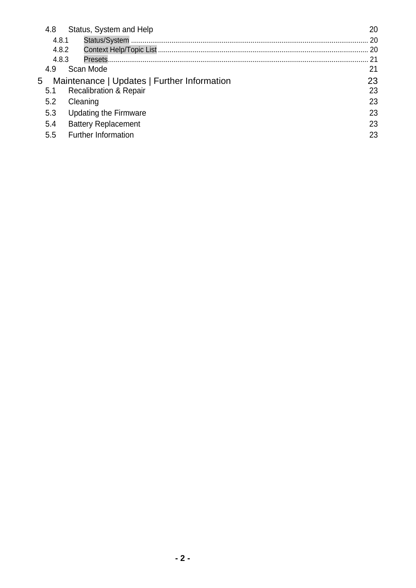| 4.8   | Status, System and Help                     | 20  |
|-------|---------------------------------------------|-----|
| 4.8.1 |                                             | 20  |
| 4.8.2 |                                             | -20 |
| 4.8.3 |                                             | 21  |
| 4.9   | Scan Mode                                   | 21  |
| 5     | Maintenance   Updates   Further Information | 23  |
| 5.1   | <b>Recalibration &amp; Repair</b>           | 23  |
| 5.2   | Cleaning                                    | 23  |
| 5.3   | <b>Updating the Firmware</b>                | 23  |
| 5.4   | <b>Battery Replacement</b>                  | 23  |
| 5.5   | <b>Further Information</b>                  | 23  |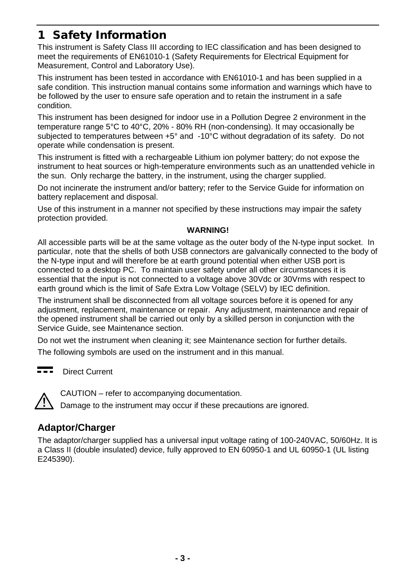# <span id="page-3-0"></span>1 Safety Information

This instrument is Safety Class III according to IEC classification and has been designed to meet the requirements of EN61010-1 (Safety Requirements for Electrical Equipment for Measurement, Control and Laboratory Use).

This instrument has been tested in accordance with EN61010-1 and has been supplied in a safe condition. This instruction manual contains some information and warnings which have to be followed by the user to ensure safe operation and to retain the instrument in a safe condition.

This instrument has been designed for indoor use in a Pollution Degree 2 environment in the temperature range 5°C to 40°C, 20% - 80% RH (non-condensing). It may occasionally be subjected to temperatures between +5° and -10°C without degradation of its safety. Do not operate while condensation is present.

This instrument is fitted with a rechargeable Lithium ion polymer battery; do not expose the instrument to heat sources or high-temperature environments such as an unattended vehicle in the sun. Only recharge the battery, in the instrument, using the charger supplied.

Do not incinerate the instrument and/or battery; refer to the Service Guide for information on battery replacement and disposal.

Use of this instrument in a manner not specified by these instructions may impair the safety protection provided.

#### **WARNING!**

All accessible parts will be at the same voltage as the outer body of the N-type input socket. In particular, note that the shells of both USB connectors are galvanically connected to the body of the N-type input and will therefore be at earth ground potential when either USB port is connected to a desktop PC. To maintain user safety under all other circumstances it is essential that the input is not connected to a voltage above 30Vdc or 30Vrms with respect to earth ground which is the limit of Safe Extra Low Voltage (SELV) by IEC definition.

The instrument shall be disconnected from all voltage sources before it is opened for any adjustment, replacement, maintenance or repair. Any adjustment, maintenance and repair of the opened instrument shall be carried out only by a skilled person in conjunction with the Service Guide, see Maintenance section.

Do not wet the instrument when cleaning it; see Maintenance section for further details.

The following symbols are used on the instrument and in this manual.

a a a Direct Current



CAUTION – refer to accompanying documentation.

Damage to the instrument may occur if these precautions are ignored.

## **Adaptor/Charger**

The adaptor/charger supplied has a universal input voltage rating of 100-240VAC, 50/60Hz. It is a Class II (double insulated) device, fully approved to EN 60950-1 and UL 60950-1 (UL listing E245390).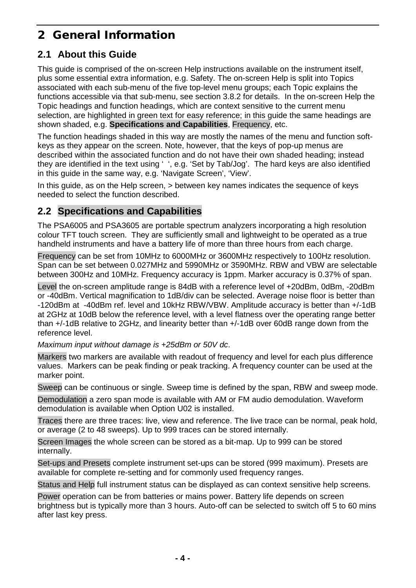# <span id="page-4-0"></span>2 General Information

# <span id="page-4-1"></span>**2.1 About this Guide**

This guide is comprised of the on-screen Help instructions available on the instrument itself, plus some essential extra information, e.g. Safety. The on-screen Help is split into Topics associated with each sub-menu of the five top-level menu groups; each Topic explains the functions accessible via that sub-menu, see section 3.8.2 for details. In the on-screen Help the Topic headings and function headings, which are context sensitive to the current menu selection, are highlighted in green text for easy reference; in this guide the same headings are shown shaded, e.g. **Specifications and Capabilities**, Frequency, etc.

The function headings shaded in this way are mostly the names of the menu and function softkeys as they appear on the screen. Note, however, that the keys of pop-up menus are described within the associated function and do not have their own shaded heading; instead they are identified in the text using ' ', e.g. 'Set by Tab/Jog'. The hard keys are also identified in this guide in the same way, e.g. 'Navigate Screen', 'View'.

In this guide, as on the Help screen, > between key names indicates the sequence of keys needed to select the function described.

# <span id="page-4-2"></span>**2.2 Specifications and Capabilities**

The PSA6005 and PSA3605 are portable spectrum analyzers incorporating a high resolution colour TFT touch screen. They are sufficiently small and lightweight to be operated as a true handheld instruments and have a battery life of more than three hours from each charge.

Frequency can be set from 10MHz to 6000MHz or 3600MHz respectively to 100Hz resolution. Span can be set between 0.027MHz and 5990MHz or 3590MHz. RBW and VBW are selectable between 300Hz and 10MHz. Frequency accuracy is 1ppm. Marker accuracy is 0.37% of span.

Level the on-screen amplitude range is 84dB with a reference level of +20dBm, 0dBm, -20dBm or -40dBm. Vertical magnification to 1dB/div can be selected. Average noise floor is better than -120dBm at -40dBm ref. level and 10kHz RBW/VBW. Amplitude accuracy is better than +/-1dB at 2GHz at 10dB below the reference level, with a level flatness over the operating range better than +/-1dB relative to 2GHz, and linearity better than +/-1dB over 60dB range down from the reference level.

*Maximum input without damage is +25dBm or 50V dc*.

Markers two markers are available with readout of frequency and level for each plus difference values. Markers can be peak finding or peak tracking. A frequency counter can be used at the marker point.

Sweep can be continuous or single. Sweep time is defined by the span, RBW and sweep mode.

Demodulation a zero span mode is available with AM or FM audio demodulation. Waveform demodulation is available when Option U02 is installed.

Traces there are three traces: live, view and reference. The live trace can be normal, peak hold, or average (2 to 48 sweeps). Up to 999 traces can be stored internally.

Screen Images the whole screen can be stored as a bit-map. Up to 999 can be stored internally.

Set-ups and Presets complete instrument set-ups can be stored (999 maximum). Presets are available for complete re-setting and for commonly used frequency ranges.

Status and Help full instrument status can be displayed as can context sensitive help screens.

Power operation can be from batteries or mains power. Battery life depends on screen brightness but is typically more than 3 hours. Auto-off can be selected to switch off 5 to 60 mins after last key press.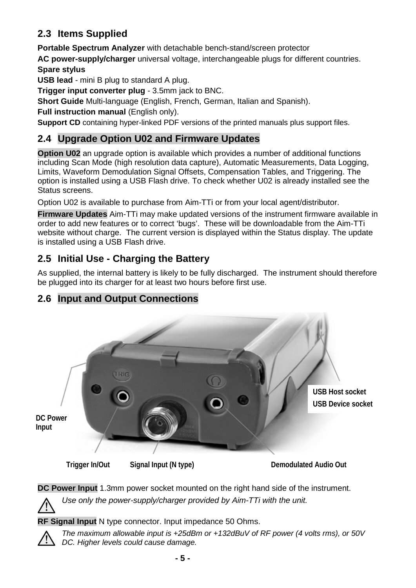# <span id="page-5-0"></span>**2.3 Items Supplied**

**Portable Spectrum Analyzer** with detachable bench-stand/screen protector

**AC power-supply/charger** universal voltage, interchangeable plugs for different countries. **Spare stylus**

**USB lead** - mini B plug to standard A plug.

**Trigger input converter plug** - 3.5mm jack to BNC.

**Short Guide** Multi-language (English, French, German, Italian and Spanish).

**Full instruction manual** (English only).

**Support CD** containing hyper-linked PDF versions of the printed manuals plus support files.

# <span id="page-5-1"></span>**2.4 Upgrade Option U02 and Firmware Updates**

**Option U02** an upgrade option is available which provides a number of additional functions including Scan Mode (high resolution data capture), Automatic Measurements, Data Logging, Limits, Waveform Demodulation Signal Offsets, Compensation Tables, and Triggering. The option is installed using a USB Flash drive. To check whether U02 is already installed see the Status screens.

Option U02 is available to purchase from Aim-TTi or from your local agent/distributor.

**Firmware Updates** Aim-TTi may make updated versions of the instrument firmware available in order to add new features or to correct 'bugs'. These will be downloadable from the Aim-TTi website without charge. The current version is displayed within the Status display. The update is installed using a USB Flash drive.

# <span id="page-5-2"></span>**2.5 Initial Use - Charging the Battery**

As supplied, the internal battery is likely to be fully discharged. The instrument should therefore be plugged into its charger for at least two hours before first use.

<span id="page-5-3"></span>



**DC Power Input** 1.3mm power socket mounted on the right hand side of the instrument. *Use only the power-supply/charger provided by Aim-TTi with the unit.*

**RF Signal Input** N type connector. Input impedance 50 Ohms.

*The maximum allowable input is +25dBm or +132dBuV of RF power (4 volts rms), or 50V DC. Higher levels could cause damage.*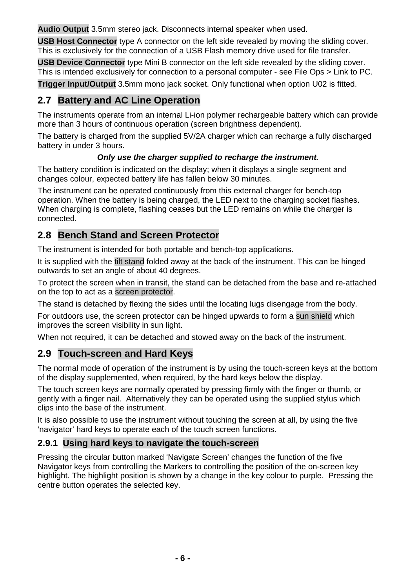**Audio Output** 3.5mm stereo jack. Disconnects internal speaker when used.

**USB Host Connector** type A connector on the left side revealed by moving the sliding cover. This is exclusively for the connection of a USB Flash memory drive used for file transfer.

**USB Device Connector** type Mini B connector on the left side revealed by the sliding cover. This is intended exclusively for connection to a personal computer - see File Ops > Link to PC.

**Trigger Input/Output** 3.5mm mono jack socket. Only functional when option U02 is fitted.

# <span id="page-6-0"></span>**2.7 Battery and AC Line Operation**

The instruments operate from an internal Li-ion polymer rechargeable battery which can provide more than 3 hours of continuous operation (screen brightness dependent).

The battery is charged from the supplied 5V/2A charger which can recharge a fully discharged battery in under 3 hours.

#### *Only use the charger supplied to recharge the instrument.*

The battery condition is indicated on the display; when it displays a single segment and changes colour, expected battery life has fallen below 30 minutes.

The instrument can be operated continuously from this external charger for bench-top operation. When the battery is being charged, the LED next to the charging socket flashes. When charging is complete, flashing ceases but the LED remains on while the charger is connected.

# <span id="page-6-1"></span>**2.8 Bench Stand and Screen Protector**

The instrument is intended for both portable and bench-top applications.

It is supplied with the tilt stand folded away at the back of the instrument. This can be hinged outwards to set an angle of about 40 degrees.

To protect the screen when in transit, the stand can be detached from the base and re-attached on the top to act as a screen protector.

The stand is detached by flexing the sides until the locating lugs disengage from the body.

For outdoors use, the screen protector can be hinged upwards to form a sun shield which improves the screen visibility in sun light.

When not required, it can be detached and stowed away on the back of the instrument.

## <span id="page-6-2"></span>**2.9 Touch-screen and Hard Keys**

The normal mode of operation of the instrument is by using the touch-screen keys at the bottom of the display supplemented, when required, by the hard keys below the display.

The touch screen keys are normally operated by pressing firmly with the finger or thumb, or gently with a finger nail. Alternatively they can be operated using the supplied stylus which clips into the base of the instrument.

It is also possible to use the instrument without touching the screen at all, by using the five 'navigator' hard keys to operate each of the touch screen functions.

## <span id="page-6-3"></span>**2.9.1 Using hard keys to navigate the touch-screen**

Pressing the circular button marked 'Navigate Screen' changes the function of the five Navigator keys from controlling the Markers to controlling the position of the on-screen key highlight. The highlight position is shown by a change in the key colour to purple. Pressing the centre button operates the selected key.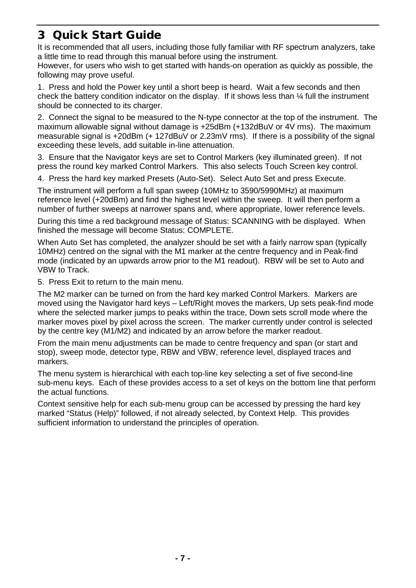# <span id="page-7-0"></span>3 Quick Start Guide

It is recommended that all users, including those fully familiar with RF spectrum analyzers, take a little time to read through this manual before using the instrument.

However, for users who wish to get started with hands-on operation as quickly as possible, the following may prove useful.

1. Press and hold the Power key until a short beep is heard. Wait a few seconds and then check the battery condition indicator on the display. If it shows less than  $\frac{1}{4}$  full the instrument should be connected to its charger.

2. Connect the signal to be measured to the N-type connector at the top of the instrument. The maximum allowable signal without damage is +25dBm (+132dBuV or 4V rms). The maximum measurable signal is +20dBm (+ 127dBuV or 2.23mV rms). If there is a possibility of the signal exceeding these levels, add suitable in-line attenuation.

3. Ensure that the Navigator keys are set to Control Markers (key illuminated green). If not press the round key marked Control Markers. This also selects Touch Screen key control.

4. Press the hard key marked Presets (Auto-Set). Select Auto Set and press Execute.

The instrument will perform a full span sweep (10MHz to 3590/5990MHz) at maximum reference level (+20dBm) and find the highest level within the sweep. It will then perform a number of further sweeps at narrower spans and, where appropriate, lower reference levels.

During this time a red background message of Status: SCANNING with be displayed. When finished the message will become Status: COMPLETE.

When Auto Set has completed, the analyzer should be set with a fairly narrow span (typically 10MHz) centred on the signal with the M1 marker at the centre frequency and in Peak-find mode (indicated by an upwards arrow prior to the M1 readout). RBW will be set to Auto and VBW to Track.

5. Press Exit to return to the main menu.

The M2 marker can be turned on from the hard key marked Control Markers. Markers are moved using the Navigator hard keys – Left/Right moves the markers, Up sets peak-find mode where the selected marker jumps to peaks within the trace, Down sets scroll mode where the marker moves pixel by pixel across the screen. The marker currently under control is selected by the centre key (M1/M2) and indicated by an arrow before the marker readout.

From the main menu adjustments can be made to centre frequency and span (or start and stop), sweep mode, detector type, RBW and VBW, reference level, displayed traces and markers.

The menu system is hierarchical with each top-line key selecting a set of five second-line sub-menu keys. Each of these provides access to a set of keys on the bottom line that perform the actual functions.

Context sensitive help for each sub-menu group can be accessed by pressing the hard key marked "Status (Help)" followed, if not already selected, by Context Help. This provides sufficient information to understand the principles of operation.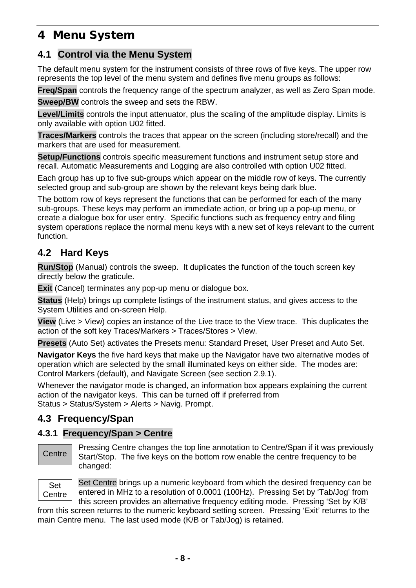# <span id="page-8-0"></span>4 Menu System

# <span id="page-8-1"></span>**4.1 Control via the Menu System**

The default menu system for the instrument consists of three rows of five keys. The upper row represents the top level of the menu system and defines five menu groups as follows:

**Freq/Span** controls the frequency range of the spectrum analyzer, as well as Zero Span mode.

**Sweep/BW** controls the sweep and sets the RBW.

**Level/Limits** controls the input attenuator, plus the scaling of the amplitude display. Limits is only available with option U02 fitted.

**Traces/Markers** controls the traces that appear on the screen (including store/recall) and the markers that are used for measurement.

**Setup/Functions** controls specific measurement functions and instrument setup store and recall. Automatic Measurements and Logging are also controlled with option U02 fitted.

Each group has up to five sub-groups which appear on the middle row of keys. The currently selected group and sub-group are shown by the relevant keys being dark blue.

The bottom row of keys represent the functions that can be performed for each of the many sub-groups. These keys may perform an immediate action, or bring up a pop-up menu, or create a dialogue box for user entry. Specific functions such as frequency entry and filing system operations replace the normal menu keys with a new set of keys relevant to the current function.

## <span id="page-8-2"></span>**4.2 Hard Keys**

**Run/Stop** (Manual) controls the sweep. It duplicates the function of the touch screen key directly below the graticule.

**Exit** (Cancel) terminates any pop-up menu or dialogue box.

**Status** (Help) brings up complete listings of the instrument status, and gives access to the System Utilities and on-screen Help.

**View** (Live > View) copies an instance of the Live trace to the View trace. This duplicates the action of the soft key Traces/Markers > Traces/Stores > View.

**Presets** (Auto Set) activates the Presets menu: Standard Preset, User Preset and Auto Set.

**Navigator Keys** the five hard keys that make up the Navigator have two alternative modes of operation which are selected by the small illuminated keys on either side. The modes are: Control Markers (default), and Navigate Screen (see section 2.9.1).

Whenever the navigator mode is changed, an information box appears explaining the current action of the navigator keys. This can be turned off if preferred from Status > Status/System > Alerts > Navig. Prompt.

# <span id="page-8-3"></span>**4.3 Frequency/Span**

#### <span id="page-8-4"></span>**4.3.1 Frequency/Span > Centre**

#### **Centre**

Pressing Centre changes the top line annotation to Centre/Span if it was previously Start/Stop. The five keys on the bottom row enable the centre frequency to be changed:



Set Centre brings up a numeric keyboard from which the desired frequency can be entered in MHz to a resolution of 0.0001 (100Hz). Pressing Set by 'Tab/Jog' from this screen provides an alternative frequency editing mode. Pressing 'Set by K/B'

from this screen returns to the numeric keyboard setting screen. Pressing 'Exit' returns to the main Centre menu. The last used mode (K/B or Tab/Jog) is retained.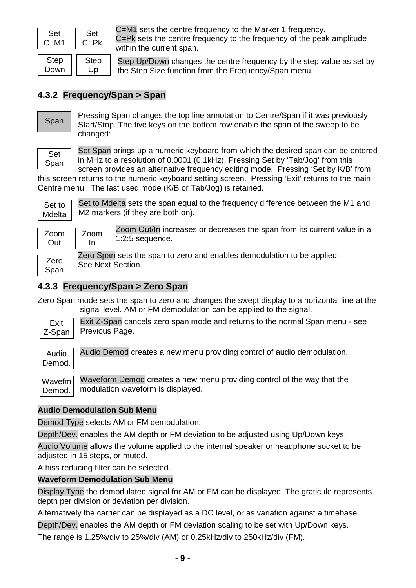| Set  | Set         |
|------|-------------|
| C=M1 | C=Pk        |
| Step | <b>Step</b> |

C=M1 sets the centre frequency to the Marker 1 frequency. C=Pk sets the centre frequency to the frequency of the peak amplitude within the current span.

Step Up/Down changes the centre frequency by the step value as set by the Step Size function from the Frequency/Span menu.

#### <span id="page-9-0"></span>**4.3.2 Frequency/Span > Span**

Up

Span

Down |

Pressing Span changes the top line annotation to Centre/Span if it was previously Start/Stop. The five keys on the bottom row enable the span of the sweep to be changed:

Set Span Set Span brings up a numeric keyboard from which the desired span can be entered in MHz to a resolution of 0.0001 (0.1kHz). Pressing Set by 'Tab/Jog' from this

screen provides an alternative frequency editing mode. Pressing 'Set by K/B' from this screen returns to the numeric keyboard setting screen. Pressing 'Exit' returns to the main Centre menu. The last used mode (K/B or Tab/Jog) is retained.



Set to Mdelta sets the span equal to the frequency difference between the M1 and M2 markers (if they are both on).



1:2:5 sequence. Zoom In

Zoom Out/In increases or decreases the span from its current value in a

Zero Span Zero Span sets the span to zero and enables demodulation to be applied. See Next Section.

#### <span id="page-9-1"></span>**4.3.3 Frequency/Span > Zero Span**

Zero Span mode sets the span to zero and changes the swept display to a horizontal line at the signal level. AM or FM demodulation can be applied to the signal.

Exit Z-Span

Exit Z-Span cancels zero span mode and returns to the normal Span menu - see Previous Page.

Audio Demod.

Audio Demod creates a new menu providing control of audio demodulation.

Waveform Demod creates a new menu providing control of the way that the modulation waveform is displayed. Wavefm Demod.

#### **Audio Demodulation Sub Menu**

Demod Type selects AM or FM demodulation.

Depth/Dev. enables the AM depth or FM deviation to be adjusted using Up/Down keys.

Audio Volume allows the volume applied to the internal speaker or headphone socket to be adjusted in 15 steps, or muted.

A hiss reducing filter can be selected.

#### **Waveform Demodulation Sub Menu**

Display Type the demodulated signal for AM or FM can be displayed. The graticule represents depth per division or deviation per division.

Alternatively the carrier can be displayed as a DC level, or as variation against a timebase.

Depth/Dev. enables the AM depth or FM deviation scaling to be set with Up/Down keys.

The range is 1.25%/div to 25%/div (AM) or 0.25kHz/div to 250kHz/div (FM).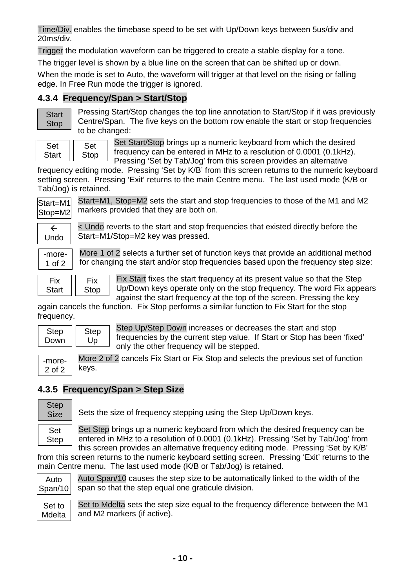Time/Div. enables the timebase speed to be set with Up/Down keys between 5us/div and 20ms/div.

Trigger the modulation waveform can be triggered to create a stable display for a tone.

The trigger level is shown by a blue line on the screen that can be shifted up or down.

When the mode is set to Auto, the waveform will trigger at that level on the rising or falling edge. In Free Run mode the trigger is ignored.

## <span id="page-10-0"></span>**4.3.4 Frequency/Span > Start/Stop**

| start |  |
|-------|--|
| otop  |  |

Pressing Start/Stop changes the top line annotation to Start/Stop if it was previously Centre/Span. The five keys on the bottom row enable the start or stop frequencies to be changed:

| Set   | Ser  |
|-------|------|
| Start | Stop |

Set Start/Stop brings up a numeric keyboard from which the desired frequency can be entered in MHz to a resolution of 0.0001 (0.1kHz). Pressing 'Set by Tab/Jog' from this screen provides an alternative

frequency editing mode. Pressing 'Set by K/B' from this screen returns to the numeric keyboard setting screen. Pressing 'Exit' returns to the main Centre menu. The last used mode (K/B or Tab/Jog) is retained.

| Start=M1 |  |
|----------|--|
| Stop=M2  |  |

Start=M1, Stop=M2 sets the start and stop frequencies to those of the M1 and M2 markers provided that they are both on.

| Undo |  |
|------|--|

< Undo reverts to the start and stop frequencies that existed directly before the Start=M1/Stop=M2 key was pressed.

-more-1 of 2

More 1 of 2 selects a further set of function keys that provide an additional method for changing the start and/or stop frequencies based upon the frequency step size:

Fix Start Fix Stop

Fix Start fixes the start frequency at its present value so that the Step Up/Down keys operate only on the stop frequency. The word Fix appears against the start frequency at the top of the screen. Pressing the key

again cancels the function. Fix Stop performs a similar function to Fix Start for the stop frequency.

| <b>Step</b> | <b>Step</b> |
|-------------|-------------|
| Down        | UD          |
|             |             |

Step Up/Step Down increases or decreases the start and stop frequencies by the current step value. If Start or Stop has been 'fixed' only the other frequency will be stepped.

More 2 of 2 cancels Fix Start or Fix Stop and selects the previous set of function keys. -more-

# <span id="page-10-1"></span>**4.3.5 Frequency/Span > Step Size**



2 of 2

Sets the size of frequency stepping using the Step Up/Down keys.

Set Step brings up a numeric keyboard from which the desired frequency can be entered in MHz to a resolution of 0.0001 (0.1kHz). Pressing 'Set by Tab/Jog' from this screen provides an alternative frequency editing mode. Pressing 'Set by K/B'

from this screen returns to the numeric keyboard setting screen. Pressing 'Exit' returns to the main Centre menu. The last used mode (K/B or Tab/Jog) is retained.

Auto Span/10

Auto Span/10 causes the step size to be automatically linked to the width of the span so that the step equal one graticule division.

Set to Mdelta sets the step size equal to the frequency difference between the M1 and M2 markers (if active). Set to Mdelta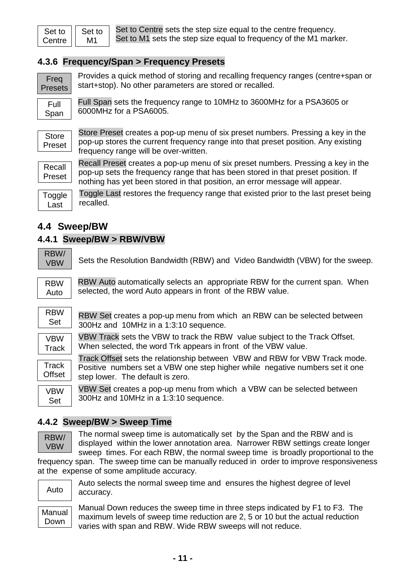| Set to | Set to |
|--------|--------|
| Centre | M1     |

Set to Centre sets the step size equal to the centre frequency. Set to M1 sets the step size equal to frequency of the M1 marker.

#### <span id="page-11-0"></span>**4.3.6 Frequency/Span > Frequency Presets**

6000MHz for a PSA6005.

Freq Presets

Provides a quick method of storing and recalling frequency ranges (centre+span or start+stop). No other parameters are stored or recalled.

Full Span sets the frequency range to 10MHz to 3600MHz for a PSA3605 or

Full Span

**Store** Preset

Store Preset creates a pop-up menu of six preset numbers. Pressing a key in the pop-up stores the current frequency range into that preset position. Any existing frequency range will be over-written.



Recall Preset creates a pop-up menu of six preset numbers. Pressing a key in the pop-up sets the frequency range that has been stored in that preset position. If nothing has yet been stored in that position, an error message will appear.

**Toggle** Last

Toggle Last restores the frequency range that existed prior to the last preset being recalled.

#### <span id="page-11-1"></span>**4.4 Sweep/BW**

#### <span id="page-11-2"></span>**4.4.1 Sweep/BW > RBW/VBW**

| RBW/ |
|------|
| VBW  |

Sets the Resolution Bandwidth (RBW) and Video Bandwidth (VBW) for the sweep.

| RBW  |  |
|------|--|
| Auto |  |

RBW Auto automatically selects an appropriate RBW for the current span. When selected, the word Auto appears in front of the RBW value.

| $RBW$ RBW Set creates a pop-up menu from which an RBW can be selected betweer |
|-------------------------------------------------------------------------------|
| Set 300Hz and 10MHz in a 1:3:10 sequence.                                     |



VBW Track sets the VBW to track the RBW value subject to the Track Offset. When selected, the word Trk appears in front of the VBW value.

Track Offset sets the relationship between VBW and RBW for VBW Track mode. Positive numbers set a VBW one step higher while negative numbers set it one step lower. The default is zero. **Track Offset** 

VBW Set creates a pop-up menu from which a VBW can be selected between 300Hz and 10MHz in a 1:3:10 sequence.

#### <span id="page-11-3"></span>**4.4.2 Sweep/BW > Sweep Time**

RBW/ VBW

VBW Set

> The normal sweep time is automatically set by the Span and the RBW and is displayed within the lower annotation area. Narrower RBW settings create longer sweep times. For each RBW, the normal sweep time is broadly proportional to the

frequency span. The sweep time can be manually reduced in order to improve responsiveness at the expense of some amplitude accuracy.

Auto

Auto selects the normal sweep time and ensures the highest degree of level accuracy.

Manual Down

Manual Down reduces the sweep time in three steps indicated by F1 to F3. The maximum levels of sweep time reduction are 2, 5 or 10 but the actual reduction varies with span and RBW. Wide RBW sweeps will not reduce.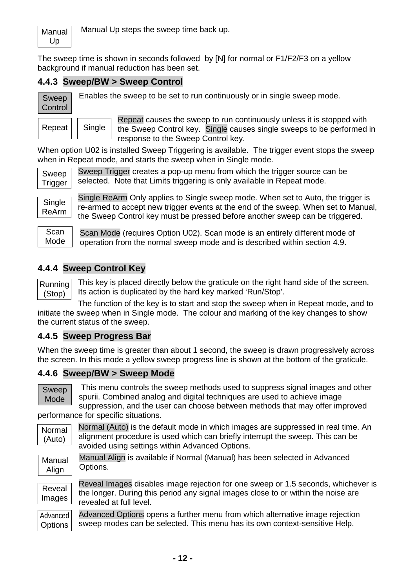Manual Up

Manual Up steps the sweep time back up.

The sweep time is shown in seconds followed by [N] for normal or F1/F2/F3 on a yellow background if manual reduction has been set.

#### <span id="page-12-0"></span>**4.4.3 Sweep/BW > Sweep Control**

Single

Sweep **Control**  Enables the sweep to be set to run continuously or in single sweep mode.

| Repeat |  |
|--------|--|

Repeat causes the sweep to run continuously unless it is stopped with the Sweep Control key. Single causes single sweeps to be performed in response to the Sweep Control key.

When option U02 is installed Sweep Triggering is available. The trigger event stops the sweep when in Repeat mode, and starts the sweep when in Single mode.



Sweep Trigger creates a pop-up menu from which the trigger source can be selected. Note that Limits triggering is only available in Repeat mode.

**Single** ReArm Single ReArm Only applies to Single sweep mode. When set to Auto, the trigger is re-armed to accept new trigger events at the end of the sweep. When set to Manual, the Sweep Control key must be pressed before another sweep can be triggered.

**Scan** Mode

Scan Mode (requires Option U02). Scan mode is an entirely different mode of operation from the normal sweep mode and is described within section 4.9.

#### <span id="page-12-1"></span>**4.4.4 Sweep Control Key**

Running (Stop)

This key is placed directly below the graticule on the right hand side of the screen. Its action is duplicated by the hard key marked 'Run/Stop'.

The function of the key is to start and stop the sweep when in Repeat mode, and to initiate the sweep when in Single mode. The colour and marking of the key changes to show the current status of the sweep.

#### <span id="page-12-2"></span>**4.4.5 Sweep Progress Bar**

When the sweep time is greater than about 1 second, the sweep is drawn progressively across the screen. In this mode a yellow sweep progress line is shown at the bottom of the graticule.

## <span id="page-12-3"></span>**4.4.6 Sweep/BW > Sweep Mode**

Sweep Mode

This menu controls the sweep methods used to suppress signal images and other spurii. Combined analog and digital techniques are used to achieve image suppression, and the user can choose between methods that may offer improved

performance for specific situations.

Normal (Auto) is the default mode in which images are suppressed in real time. An alignment procedure is used which can briefly interrupt the sweep. This can be avoided using settings within Advanced Options. Normal (Auto)

Manual Align

Manual Align is available if Normal (Manual) has been selected in Advanced Options.

Reveal Images

Reveal Images disables image rejection for one sweep or 1.5 seconds, whichever is the longer. During this period any signal images close to or within the noise are revealed at full level.

Advanced Options opens a further menu from which alternative image rejection sweep modes can be selected. This menu has its own context-sensitive Help. Advanced **Options**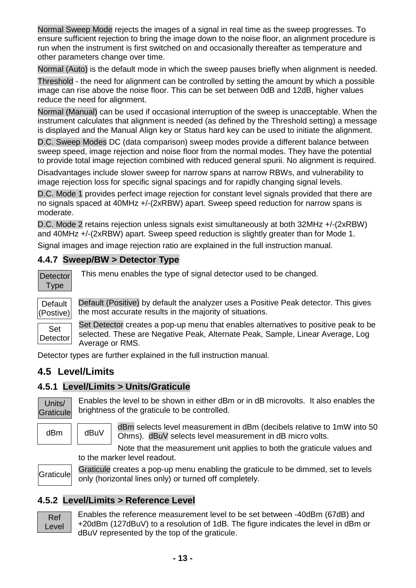Normal Sweep Mode rejects the images of a signal in real time as the sweep progresses. To ensure sufficient rejection to bring the image down to the noise floor, an alignment procedure is run when the instrument is first switched on and occasionally thereafter as temperature and other parameters change over time.

Normal (Auto) is the default mode in which the sweep pauses briefly when alignment is needed.

Threshold - the need for alignment can be controlled by setting the amount by which a possible image can rise above the noise floor. This can be set between 0dB and 12dB, higher values reduce the need for alignment.

Normal (Manual) can be used if occasional interruption of the sweep is unacceptable. When the instrument calculates that alignment is needed (as defined by the Threshold setting) a message is displayed and the Manual Align key or Status hard key can be used to initiate the alignment.

D.C. Sweep Modes DC (data comparison) sweep modes provide a different balance between sweep speed, image rejection and noise floor from the normal modes. They have the potential to provide total image rejection combined with reduced general spurii. No alignment is required.

Disadvantages include slower sweep for narrow spans at narrow RBWs, and vulnerability to image rejection loss for specific signal spacings and for rapidly changing signal levels.

D.C. Mode 1 provides perfect image rejection for constant level signals provided that there are no signals spaced at 40MHz +/-(2xRBW) apart. Sweep speed reduction for narrow spans is moderate.

D.C. Mode 2 retains rejection unless signals exist simultaneously at both 32MHz +/-(2xRBW) and 40MHz +/-(2xRBW) apart. Sweep speed reduction is slightly greater than for Mode 1.

Signal images and image rejection ratio are explained in the full instruction manual.

#### <span id="page-13-0"></span>**4.4.7 Sweep/BW > Detector Type**

**Detector** Type

This menu enables the type of signal detector used to be changed.



Default (Positive) by default the analyzer uses a Positive Peak detector. This gives the most accurate results in the majority of situations.

Set **Detector** 

Set Detector creates a pop-up menu that enables alternatives to positive peak to be selected. These are Negative Peak, Alternate Peak, Sample, Linear Average, Log Average or RMS.

Detector types are further explained in the full instruction manual.

## <span id="page-13-1"></span>**4.5 Level/Limits**

#### <span id="page-13-2"></span>**4.5.1 Level/Limits > Units/Graticule**

Units/ **Graticule** 

Enables the level to be shown in either dBm or in dB microvolts. It also enables the brightness of the graticule to be controlled.

 $dBm$   $||$   $dBuV$ 

dBm selects level measurement in dBm (decibels relative to 1mW into 50 Ohms). dBuV selects level measurement in dB micro volts.

Note that the measurement unit applies to both the graticule values and to the marker level readout.

**Graticule** 

Graticule creates a pop-up menu enabling the graticule to be dimmed, set to levels only (horizontal lines only) or turned off completely.

#### <span id="page-13-3"></span>**4.5.2 Level/Limits > Reference Level**



Enables the reference measurement level to be set between -40dBm (67dB) and +20dBm (127dBuV) to a resolution of 1dB. The figure indicates the level in dBm or dBuV represented by the top of the graticule.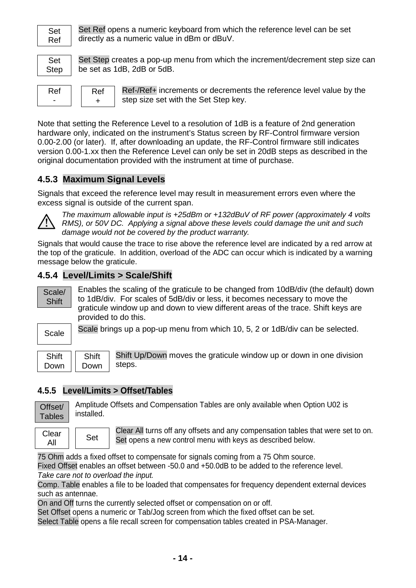

Set Ref opens a numeric keyboard from which the reference level can be set directly as a numeric value in dBm or dBuV.

Set Step

Set Step creates a pop-up menu from which the increment/decrement step size can be set as 1dB, 2dB or 5dB.

| кег |  |
|-----|--|
| ۰   |  |

Ref-/Ref+ increments or decrements the reference level value by the step size set with the Set Step key.

Note that setting the Reference Level to a resolution of 1dB is a feature of 2nd generation hardware only, indicated on the instrument's Status screen by RF-Control firmware version 0.00-2.00 (or later). If, after downloading an update, the RF-Control firmware still indicates version 0.00-1.xx then the Reference Level can only be set in 20dB steps as described in the original documentation provided with the instrument at time of purchase.

## <span id="page-14-0"></span>**4.5.3 Maximum Signal Levels**

Ref +

Signals that exceed the reference level may result in measurement errors even where the excess signal is outside of the current span.



*The maximum allowable input is +25dBm or +132dBuV of RF power (approximately 4 volts RMS), or 50V DC. Applying a signal above these levels could damage the unit and such damage would not be covered by the product warranty.*

Signals that would cause the trace to rise above the reference level are indicated by a red arrow at the top of the graticule. In addition, overload of the ADC can occur which is indicated by a warning message below the graticule.

#### <span id="page-14-1"></span>**4.5.4 Level/Limits > Scale/Shift**

Scale/ **Shift** 

Enables the scaling of the graticule to be changed from 10dB/div (the default) down to 1dB/div. For scales of 5dB/div or less, it becomes necessary to move the graticule window up and down to view different areas of the trace. Shift keys are provided to do this.



Scale brings up a pop-up menu from which 10, 5, 2 or 1dB/div can be selected.

| าเrt<br>$\mathbf{S}$ n |  |
|------------------------|--|
| own                    |  |

Shift Up/Down moves the graticule window up or down in one division steps.

#### <span id="page-14-2"></span>**4.5.5 Level/Limits > Offset/Tables**

**Shift** Down

Amplitude Offsets and Compensation Tables are only available when Option U02 is Offset/ **Tables** 

installed.

Clear <sup>near</sup> || Set Clear All turns off any offsets and any compensation tables that were set to on. Set opens a new control menu with keys as described below.

75 Ohm adds a fixed offset to compensate for signals coming from a 75 Ohm source.

Fixed Offset enables an offset between -50.0 and +50.0dB to be added to the reference level. *Take care not to overload the input.*

Comp. Table enables a file to be loaded that compensates for frequency dependent external devices such as antennae.

On and Off turns the currently selected offset or compensation on or off.

Set Offset opens a numeric or Tab/Jog screen from which the fixed offset can be set.

Select Table opens a file recall screen for compensation tables created in PSA-Manager.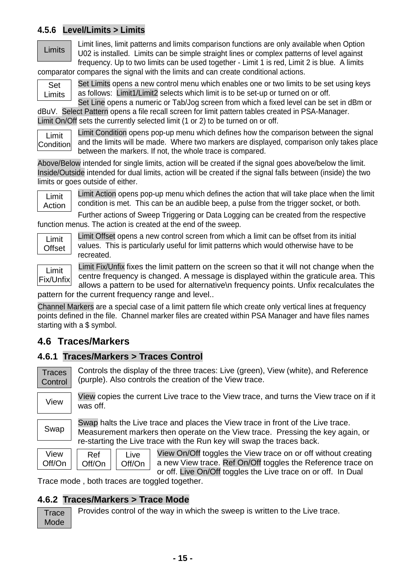#### <span id="page-15-0"></span>**4.5.6 Level/Limits > Limits**

#### **Limits**

Limit lines, limit patterns and limits comparison functions are only available when Option U02 is installed. Limits can be simple straight lines or complex patterns of level against frequency. Up to two limits can be used together - Limit 1 is red, Limit 2 is blue. A limits comparator compares the signal with the limits and can create conditional actions.

Set Limits Set Limits opens a new control menu which enables one or two limits to be set using keys as follows: Limit1/Limit2 selects which limit is to be set-up or turned on or off.

Set Line opens a numeric or Tab/Jog screen from which a fixed level can be set in dBm or dBuV. Select Pattern opens a file recall screen for limit pattern tables created in PSA-Manager. Limit On/Off sets the currently selected limit (1 or 2) to be turned on or off.

Limit Condition

Limit Condition opens pop-up menu which defines how the comparison between the signal and the limits will be made. Where two markers are displayed, comparison only takes place between the markers. If not, the whole trace is compared.

Above/Below intended for single limits, action will be created if the signal goes above/below the limit. Inside/Outside intended for dual limits, action will be created if the signal falls between (inside) the two limits or goes outside of either.

Limit Action

Limit Action opens pop-up menu which defines the action that will take place when the limit condition is met. This can be an audible beep, a pulse from the trigger socket, or both.

Further actions of Sweep Triggering or Data Logging can be created from the respective function menus. The action is created at the end of the sweep.



Limit Fix/Unfix Limit Offset opens a new control screen from which a limit can be offset from its initial values. This is particularly useful for limit patterns which would otherwise have to be recreated.

Limit Fix/Unfix fixes the limit pattern on the screen so that it will not change when the centre frequency is changed. A message is displayed within the graticule area. This allows a pattern to be used for alternative\n frequency points. Unfix recalculates the

pattern for the current frequency range and level..

Channel Markers are a special case of a limit pattern file which create only vertical lines at frequency points defined in the file. Channel marker files are created within PSA Manager and have files names starting with a \$ symbol.

# <span id="page-15-1"></span>**4.6 Traces/Markers**

## <span id="page-15-2"></span>**4.6.1 Traces/Markers > Traces Control**

Controls the display of the three traces: Live (green), View (white), and Reference (purple). Also controls the creation of the View trace. **Traces Control** 

View

View copies the current Live trace to the View trace, and turns the View trace on if it was off.

Swap

Swap halts the Live trace and places the View trace in front of the Live trace. Measurement markers then operate on the View trace. Pressing the key again, or re-starting the Live trace with the Run key will swap the traces back.

| View   | Ret    |
|--------|--------|
| Off/On | Off/On |

View On/Off toggles the View trace on or off without creating a new View trace. Ref On/Off toggles the Reference trace on or off. Live On/Off toggles the Live trace on or off. In Dual

Trace mode , both traces are toggled together.

Live Off/On

## <span id="page-15-3"></span>**4.6.2 Traces/Markers > Trace Mode**

Provides control of the way in which the sweep is written to the Live trace. **Trace** Mode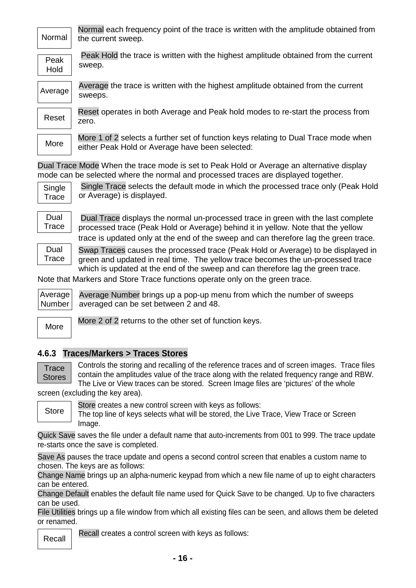| Normal       | Normal each frequency point of the trace is written with the amplitude obtained from<br>the current sweep. |
|--------------|------------------------------------------------------------------------------------------------------------|
| Peak<br>Hold | Peak Hold the trace is written with the highest amplitude obtained from the current<br>sweep.              |
| Average      | Average the trace is written with the highest amplitude obtained from the current<br>sweeps.               |
| Reset        | Reset operates in both Average and Peak hold modes to re-start the process from<br>zero.                   |

More 1 of 2 selects a further set of function keys relating to Dual Trace mode when either Peak Hold or Average have been selected:

Dual Trace Mode When the trace mode is set to Peak Hold or Average an alternative display mode can be selected where the normal and processed traces are displayed together.

**Single Trace** 

**More** 

Single Trace selects the default mode in which the processed trace only (Peak Hold or Average) is displayed.

Dual **Trace** 

Dual Trace displays the normal un-processed trace in green with the last complete processed trace (Peak Hold or Average) behind it in yellow. Note that the yellow trace is updated only at the end of the sweep and can therefore lag the green trace.

Dual **Trace** 

Swap Traces causes the processed trace (Peak Hold or Average) to be displayed in green and updated in real time. The yellow trace becomes the un-processed trace which is updated at the end of the sweep and can therefore lag the green trace.

Note that Markers and Store Trace functions operate only on the green trace.

Average Number brings up a pop-up menu from which the number of sweeps averaged can be set between 2 and 48. Average Number

More

More 2 of 2 returns to the other set of function keys.

#### <span id="page-16-0"></span>**4.6.3 Traces/Markers > Traces Stores**

**Trace Stores**  Controls the storing and recalling of the reference traces and of screen images. Trace files contain the amplitudes value of the trace along with the related frequency range and RBW. The Live or View traces can be stored. Screen Image files are 'pictures' of the whole

screen (excluding the key area).

Store

Store creates a new control screen with keys as follows:

The top line of keys selects what will be stored, the Live Trace, View Trace or Screen Image.

Quick Save saves the file under a default name that auto-increments from 001 to 999. The trace update re-starts once the save is completed.

Save As pauses the trace update and opens a second control screen that enables a custom name to chosen. The keys are as follows:

Change Name brings up an alpha-numeric keypad from which a new file name of up to eight characters can be entered.

Change Default enables the default file name used for Quick Save to be changed. Up to five characters can be used.

File Utilities brings up a file window from which all existing files can be seen, and allows them be deleted or renamed.

Recall

Recall creates a control screen with keys as follows: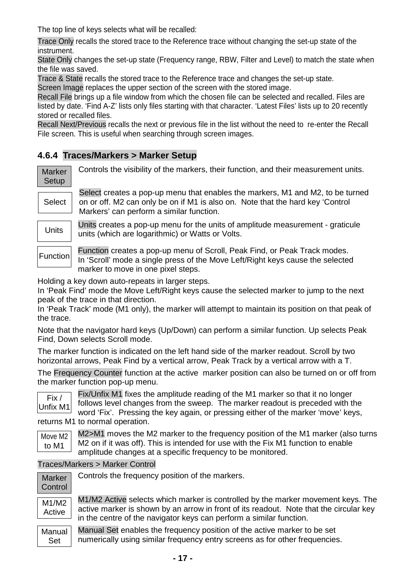The top line of keys selects what will be recalled:

Trace Only recalls the stored trace to the Reference trace without changing the set-up state of the instrument.

State Only changes the set-up state (Frequency range, RBW, Filter and Level) to match the state when the file was saved.

Trace & State recalls the stored trace to the Reference trace and changes the set-up state.

Screen Image replaces the upper section of the screen with the stored image.

Recall File brings up a file window from which the chosen file can be selected and recalled. Files are listed by date. 'Find A-Z' lists only files starting with that character. 'Latest Files' lists up to 20 recently stored or recalled files.

Recall Next/Previous recalls the next or previous file in the list without the need to re-enter the Recall File screen. This is useful when searching through screen images.

#### <span id="page-17-0"></span>**4.6.4 Traces/Markers > Marker Setup**

| <b>Marker</b> | Controls the visibility of the markers, their function, and their measurement units.                                                                                                                                              |
|---------------|-----------------------------------------------------------------------------------------------------------------------------------------------------------------------------------------------------------------------------------|
| Setup         |                                                                                                                                                                                                                                   |
|               | Select creates a pop-up menu that enables the markers, M1 and M2, to be turned                                                                                                                                                    |
| Select        | on or off. M2 can only be on if M1 is also on. Note that the hard key 'Control                                                                                                                                                    |
|               | Markers' can perform a similar function.                                                                                                                                                                                          |
|               | $\mathbf{r}$ . The contract of the contract of the contract of the contract of the contract of the contract of the contract of the contract of the contract of the contract of the contract of the contract of the contract of th |

Units creates a pop-up menu for the units of amplitude measurement - graticule units (which are logarithmic) or Watts or Volts.

Function creates a pop-up menu of Scroll, Peak Find, or Peak Track modes. In 'Scroll' mode a single press of the Move Left/Right keys cause the selected marker to move in one pixel steps.

Holding a key down auto-repeats in larger steps.

In 'Peak Find' mode the Move Left/Right keys cause the selected marker to jump to the next peak of the trace in that direction.

In 'Peak Track' mode (M1 only), the marker will attempt to maintain its position on that peak of the trace.

Note that the navigator hard keys (Up/Down) can perform a similar function. Up selects Peak Find, Down selects Scroll mode.

The marker function is indicated on the left hand side of the marker readout. Scroll by two horizontal arrows, Peak Find by a vertical arrow, Peak Track by a vertical arrow with a T.

The Frequency Counter function at the active marker position can also be turned on or off from the marker function pop-up menu.



Function

**Units** 

Fix/Unfix M1 fixes the amplitude reading of the M1 marker so that it no longer follows level changes from the sweep. The marker readout is preceded with the word 'Fix'. Pressing the key again, or pressing either of the marker 'move' keys,

returns M1 to normal operation.

|       | Move M2 |
|-------|---------|
| to M1 |         |

M2>M1 moves the M2 marker to the frequency position of the M1 marker (also turns M2 on if it was off). This is intended for use with the Fix M1 function to enable amplitude changes at a specific frequency to be monitored.

Traces/Markers > Marker Control

| Marker<br>Control | Controls the frequency position of the markers.                                                                                                                                                                                                   |
|-------------------|---------------------------------------------------------------------------------------------------------------------------------------------------------------------------------------------------------------------------------------------------|
| M1/M2<br>Active   | M1/M2 Active selects which marker is controlled by the marker movement keys. The<br>active marker is shown by an arrow in front of its readout. Note that the circular key<br>in the centre of the navigator keys can perform a similar function. |
| Manual<br>Set     | Manual Set enables the frequency position of the active marker to be set<br>numerically using similar frequency entry screens as for other frequencies.                                                                                           |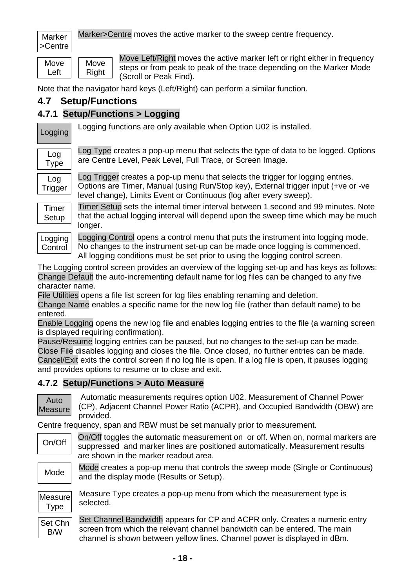Marker >Centre Marker>Centre moves the active marker to the sweep centre frequency.

**Move** Left

Move Left/Right moves the active marker left or right either in frequency steps or from peak to peak of the trace depending on the Marker Mode (Scroll or Peak Find).

Note that the navigator hard keys (Left/Right) can perform a similar function.

## <span id="page-18-0"></span>**4.7 Setup/Functions**

**Move** Right

## <span id="page-18-1"></span>**4.7.1 Setup/Functions > Logging**

Logging

Logging functions are only available when Option U02 is installed.

| Log<br>I ype   |  |
|----------------|--|
| Log<br>Trigger |  |

Log Type creates a pop-up menu that selects the type of data to be logged. Options are Centre Level, Peak Level, Full Trace, or Screen Image.

Log Trigger creates a pop-up menu that selects the trigger for logging entries. Options are Timer, Manual (using Run/Stop key), External trigger input (+ve or -ve level change), Limits Event or Continuous (log after every sweep).

Timer **Setup** 

Timer Setup sets the internal timer interval between 1 second and 99 minutes. Note that the actual logging interval will depend upon the sweep time which may be much longer.



Logging Control opens a control menu that puts the instrument into logging mode. No changes to the instrument set-up can be made once logging is commenced. All logging conditions must be set prior to using the logging control screen.

The Logging control screen provides an overview of the logging set-up and has keys as follows: Change Default the auto-incrementing default name for log files can be changed to any five character name.

File Utilities opens a file list screen for log files enabling renaming and deletion.

Change Name enables a specific name for the new log file (rather than default name) to be entered.

Enable Logging opens the new log file and enables logging entries to the file (a warning screen is displayed requiring confirmation).

Pause/Resume logging entries can be paused, but no changes to the set-up can be made. Close File disables logging and closes the file. Once closed, no further entries can be made. Cancel/Exit exits the control screen if no log file is open. If a log file is open, it pauses logging and provides options to resume or to close and exit.

## <span id="page-18-2"></span>**4.7.2 Setup/Functions > Auto Measure**



Automatic measurements requires option U02. Measurement of Channel Power (CP), Adjacent Channel Power Ratio (ACPR), and Occupied Bandwidth (OBW) are provided.

Centre frequency, span and RBW must be set manually prior to measurement.

| On/Off | On/Off toggles the automatic measurement on or off. When on, normal markers are |
|--------|---------------------------------------------------------------------------------|
|        | suppressed and marker lines are positioned automatically. Measurement results   |
|        | are shown in the marker readout area.                                           |

Mode

Mode creates a pop-up menu that controls the sweep mode (Single or Continuous) and the display mode (Results or Setup).



Measure Type creates a pop-up menu from which the measurement type is selected.

Set Channel Bandwidth appears for CP and ACPR only. Creates a numeric entry screen from which the relevant channel bandwidth can be entered. The main channel is shown between yellow lines. Channel power is displayed in dBm. Set Chn B/W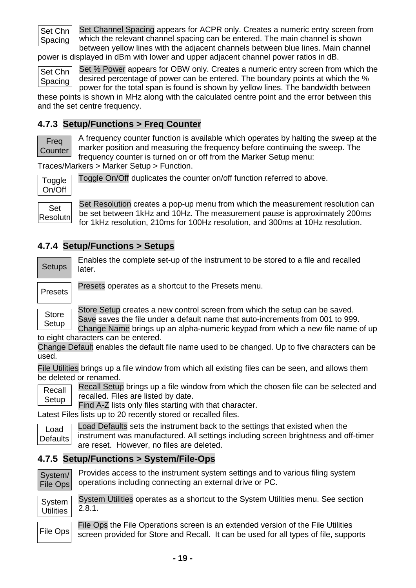

Set Channel Spacing appears for ACPR only. Creates a numeric entry screen from which the relevant channel spacing can be entered. The main channel is shown between yellow lines with the adjacent channels between blue lines. Main channel

power is displayed in dBm with lower and upper adjacent channel power ratios in dB.

Set % Power appears for OBW only. Creates a numeric entry screen from which the desired percentage of power can be entered. The boundary points at which the % power for the total span is found is shown by yellow lines. The bandwidth between Set Chn Spacing

these points is shown in MHz along with the calculated centre point and the error between this and the set centre frequency.

## <span id="page-19-0"></span>**4.7.3 Setup/Functions > Freq Counter**

Freq **Counter** 

A frequency counter function is available which operates by halting the sweep at the marker position and measuring the frequency before continuing the sweep. The frequency counter is turned on or off from the Marker Setup menu:

Traces/Markers > Marker Setup > Function.

**Toggle** On/Off

Toggle On/Off duplicates the counter on/off function referred to above.

Set

Resolutn

Set Resolution creates a pop-up menu from which the measurement resolution can be set between 1kHz and 10Hz. The measurement pause is approximately 200ms for 1kHz resolution, 210ms for 100Hz resolution, and 300ms at 10Hz resolution.

#### <span id="page-19-1"></span>**4.7.4 Setup/Functions > Setups**

Enables the complete set-up of the instrument to be stored to a file and recalled later. **Setups** 

Presets

Store

Presets operates as a shortcut to the Presets menu.

Store Setup creates a new control screen from which the setup can be saved.

Save saves the file under a default name that auto-increments from 001 to 999.

Change Name brings up an alpha-numeric keypad from which a new file name of up to eight characters can be entered. Setup

Change Default enables the default file name used to be changed. Up to five characters can be used.

File Utilities brings up a file window from which all existing files can be seen, and allows them be deleted or renamed.

Recall Setup brings up a file window from which the chosen file can be selected and recalled. Files are listed by date. Recall Setup

Find A-Z lists only files starting with that character.

Latest Files lists up to 20 recently stored or recalled files.

Load Defaults sets the instrument back to the settings that existed when the instrument was manufactured. All settings including screen brightness and off-timer are reset. However, no files are deleted. Load **Defaults** 

#### <span id="page-19-2"></span>**4.7.5 Setup/Functions > System/File-Ops**

System/ File Ops Provides access to the instrument system settings and to various filing system operations including connecting an external drive or PC.

**System Utilities** 

System Utilities operates as a shortcut to the System Utilities menu. See section 2.8.1.

File Ops the File Operations screen is an extended version of the File Utilities screen provided for Store and Recall. It can be used for all types of file, supports File Ops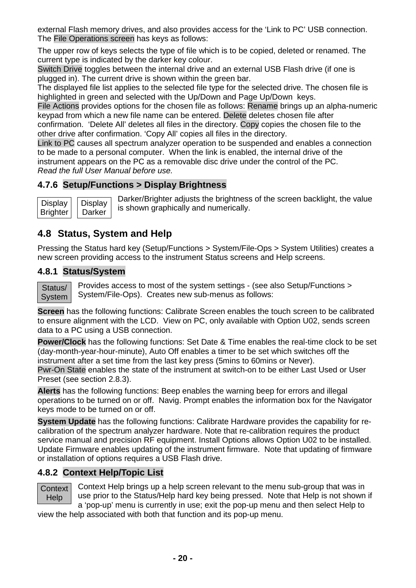external Flash memory drives, and also provides access for the 'Link to PC' USB connection. The File Operations screen has keys as follows:

The upper row of keys selects the type of file which is to be copied, deleted or renamed. The current type is indicated by the darker key colour.

Switch Drive toggles between the internal drive and an external USB Flash drive (if one is plugged in). The current drive is shown within the green bar.

The displayed file list applies to the selected file type for the selected drive. The chosen file is highlighted in green and selected with the Up/Down and Page Up/Down keys.

File Actions provides options for the chosen file as follows: Rename brings up an alpha-numeric keypad from which a new file name can be entered. Delete deletes chosen file after

confirmation. 'Delete All' deletes all files in the directory. Copy copies the chosen file to the other drive after confirmation. 'Copy All' copies all files in the directory.

Link to PC causes all spectrum analyzer operation to be suspended and enables a connection to be made to a personal computer. When the link is enabled, the internal drive of the instrument appears on the PC as a removable disc drive under the control of the PC. *Read the full User Manual before use.*

#### <span id="page-20-0"></span>**4.7.6 Setup/Functions > Display Brightness**

**Display** Darker **Display Brighter** 

Darker/Brighter adjusts the brightness of the screen backlight, the value is shown graphically and numerically.

# <span id="page-20-1"></span>**4.8 Status, System and Help**

Pressing the Status hard key (Setup/Functions > System/File-Ops > System Utilities) creates a new screen providing access to the instrument Status screens and Help screens.

#### <span id="page-20-2"></span>**4.8.1 Status/System**

Status/ **System**  Provides access to most of the system settings - (see also Setup/Functions > System/File-Ops). Creates new sub-menus as follows:

**Screen** has the following functions: Calibrate Screen enables the touch screen to be calibrated to ensure alignment with the LCD. View on PC, only available with Option U02, sends screen data to a PC using a USB connection.

**Power/Clock** has the following functions: Set Date & Time enables the real-time clock to be set (day-month-year-hour-minute), Auto Off enables a timer to be set which switches off the instrument after a set time from the last key press (5mins to 60mins or Never).

Pwr-On State enables the state of the instrument at switch-on to be either Last Used or User Preset (see section 2.8.3).

**Alerts** has the following functions: Beep enables the warning beep for errors and illegal operations to be turned on or off. Navig. Prompt enables the information box for the Navigator keys mode to be turned on or off.

**System Update** has the following functions: Calibrate Hardware provides the capability for recalibration of the spectrum analyzer hardware. Note that re-calibration requires the product service manual and precision RF equipment. Install Options allows Option U02 to be installed. Update Firmware enables updating of the instrument firmware. Note that updating of firmware or installation of options requires a USB Flash drive.

#### <span id="page-20-3"></span>**4.8.2 Context Help/Topic List**

Context Help

Context Help brings up a help screen relevant to the menu sub-group that was in use prior to the Status/Help hard key being pressed. Note that Help is not shown if a 'pop-up' menu is currently in use; exit the pop-up menu and then select Help to

view the help associated with both that function and its pop-up menu.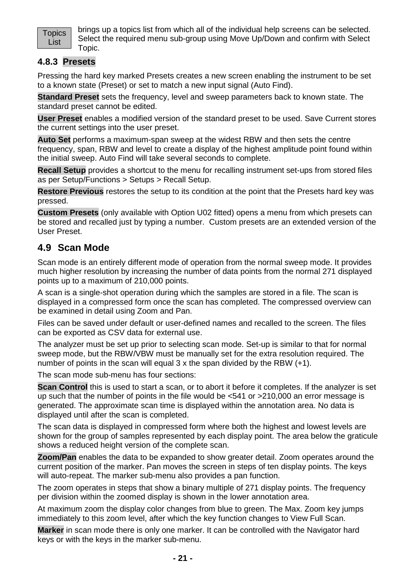

brings up a topics list from which all of the individual help screens can be selected. Select the required menu sub-group using Move Up/Down and confirm with Select Topic.

#### <span id="page-21-0"></span>**4.8.3 Presets**

Pressing the hard key marked Presets creates a new screen enabling the instrument to be set to a known state (Preset) or set to match a new input signal (Auto Find).

**Standard Preset** sets the frequency, level and sweep parameters back to known state. The standard preset cannot be edited.

**User Preset** enables a modified version of the standard preset to be used. Save Current stores the current settings into the user preset.

**Auto Set** performs a maximum-span sweep at the widest RBW and then sets the centre frequency, span, RBW and level to create a display of the highest amplitude point found within the initial sweep. Auto Find will take several seconds to complete.

**Recall Setup** provides a shortcut to the menu for recalling instrument set-ups from stored files as per Setup/Functions > Setups > Recall Setup.

**Restore Previous** restores the setup to its condition at the point that the Presets hard key was pressed.

**Custom Presets** (only available with Option U02 fitted) opens a menu from which presets can be stored and recalled just by typing a number. Custom presets are an extended version of the User Preset.

#### <span id="page-21-1"></span>**4.9 Scan Mode**

Scan mode is an entirely different mode of operation from the normal sweep mode. It provides much higher resolution by increasing the number of data points from the normal 271 displayed points up to a maximum of 210,000 points.

A scan is a single-shot operation during which the samples are stored in a file. The scan is displayed in a compressed form once the scan has completed. The compressed overview can be examined in detail using Zoom and Pan.

Files can be saved under default or user-defined names and recalled to the screen. The files can be exported as CSV data for external use.

The analyzer must be set up prior to selecting scan mode. Set-up is similar to that for normal sweep mode, but the RBW/VBW must be manually set for the extra resolution required. The number of points in the scan will equal 3 x the span divided by the RBW (+1).

The scan mode sub-menu has four sections:

**Scan Control** this is used to start a scan, or to abort it before it completes. If the analyzer is set up such that the number of points in the file would be <541 or >210,000 an error message is generated. The approximate scan time is displayed within the annotation area. No data is displayed until after the scan is completed.

The scan data is displayed in compressed form where both the highest and lowest levels are shown for the group of samples represented by each display point. The area below the graticule shows a reduced height version of the complete scan.

**Zoom/Pan** enables the data to be expanded to show greater detail. Zoom operates around the current position of the marker. Pan moves the screen in steps of ten display points. The keys will auto-repeat. The marker sub-menu also provides a pan function.

The zoom operates in steps that show a binary multiple of 271 display points. The frequency per division within the zoomed display is shown in the lower annotation area.

At maximum zoom the display color changes from blue to green. The Max. Zoom key jumps immediately to this zoom level, after which the key function changes to View Full Scan.

**Marker** in scan mode there is only one marker. It can be controlled with the Navigator hard keys or with the keys in the marker sub-menu.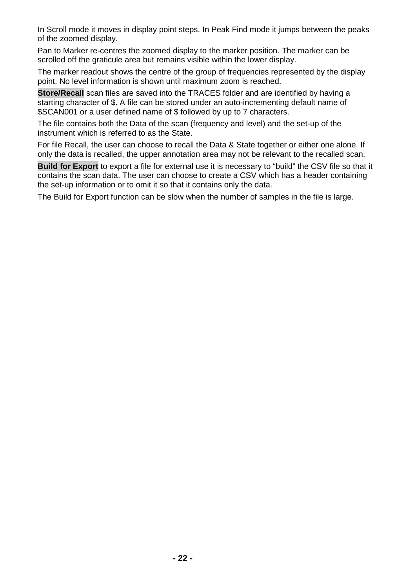In Scroll mode it moves in display point steps. In Peak Find mode it jumps between the peaks of the zoomed display.

Pan to Marker re-centres the zoomed display to the marker position. The marker can be scrolled off the graticule area but remains visible within the lower display.

The marker readout shows the centre of the group of frequencies represented by the display point. No level information is shown until maximum zoom is reached.

**Store/Recall** scan files are saved into the TRACES folder and are identified by having a starting character of \$. A file can be stored under an auto-incrementing default name of \$SCAN001 or a user defined name of \$ followed by up to 7 characters.

The file contains both the Data of the scan (frequency and level) and the set-up of the instrument which is referred to as the State.

For file Recall, the user can choose to recall the Data & State together or either one alone. If only the data is recalled, the upper annotation area may not be relevant to the recalled scan.

**Build for Export** to export a file for external use it is necessary to "build" the CSV file so that it contains the scan data. The user can choose to create a CSV which has a header containing the set-up information or to omit it so that it contains only the data.

The Build for Export function can be slow when the number of samples in the file is large.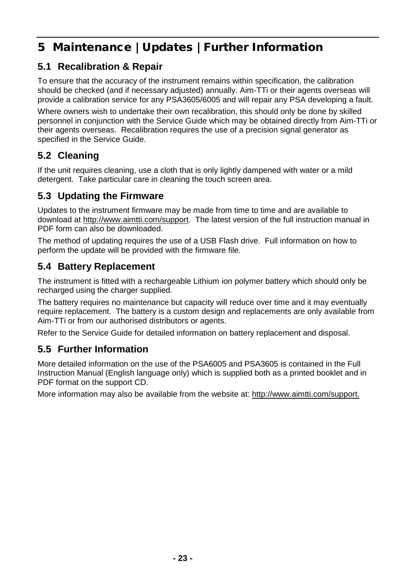# <span id="page-23-0"></span>5 Maintenance | Updates | Further Information

# <span id="page-23-1"></span>**5.1 Recalibration & Repair**

To ensure that the accuracy of the instrument remains within specification, the calibration should be checked (and if necessary adjusted) annually. Aim-TTi or their agents overseas will provide a calibration service for any PSA3605/6005 and will repair any PSA developing a fault.

Where owners wish to undertake their own recalibration, this should only be done by skilled personnel in conjunction with the Service Guide which may be obtained directly from Aim-TTi or their agents overseas. Recalibration requires the use of a precision signal generator as specified in the Service Guide.

## <span id="page-23-2"></span>**5.2 Cleaning**

If the unit requires cleaning, use a cloth that is only lightly dampened with water or a mild detergent. Take particular care in cleaning the touch screen area.

## <span id="page-23-3"></span>**5.3 Updating the Firmware**

Updates to the instrument firmware may be made from time to time and are available to download at [http://www.aimtti.com/support.](http://www.aimtti.com/support) The latest version of the full instruction manual in PDF form can also be downloaded.

The method of updating requires the use of a USB Flash drive. Full information on how to perform the update will be provided with the firmware file.

## <span id="page-23-4"></span>**5.4 Battery Replacement**

The instrument is fitted with a rechargeable Lithium ion polymer battery which should only be recharged using the charger supplied.

The battery requires no maintenance but capacity will reduce over time and it may eventually require replacement. The battery is a custom design and replacements are only available from Aim-TTi or from our authorised distributors or agents.

Refer to the Service Guide for detailed information on battery replacement and disposal.

# <span id="page-23-5"></span>**5.5 Further Information**

More detailed information on the use of the PSA6005 and PSA3605 is contained in the Full Instruction Manual (English language only) which is supplied both as a printed booklet and in PDF format on the support CD.

More information may also be available from the website at: [http://www.aimtti.com/support.](http://www.aimtti.com/support)